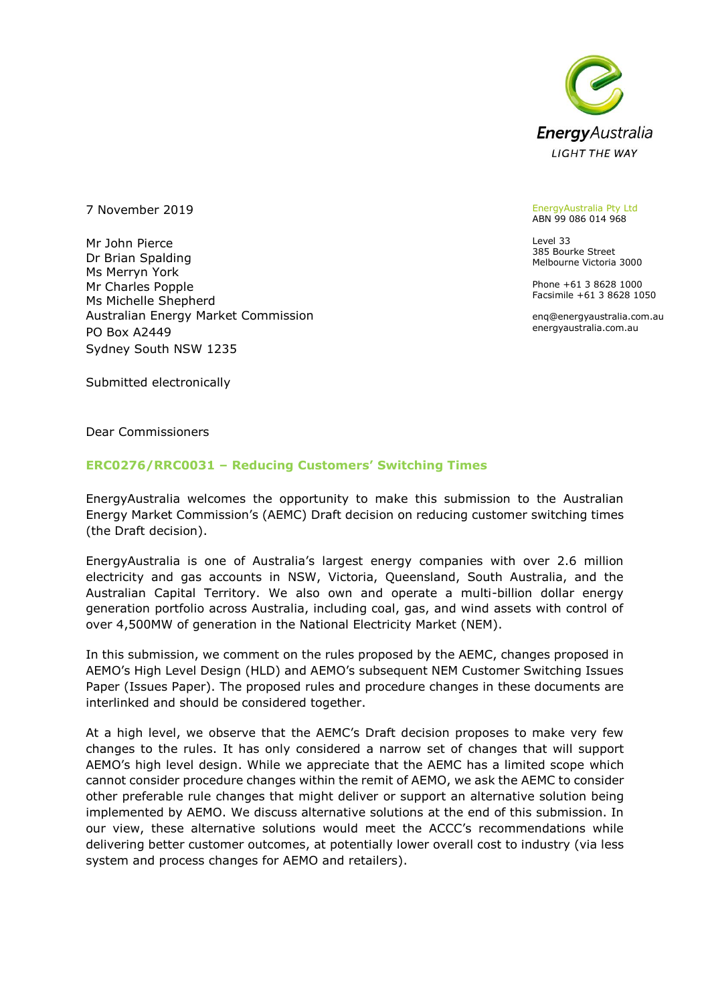

7 November 2019

Mr John Pierce Dr Brian Spalding Ms Merryn York Mr Charles Popple Ms Michelle Shepherd Australian Energy Market Commission PO Box A2449 Sydney South NSW 1235

#### EnergyAustralia Pty Ltd ABN 99 086 014 968

Level 33 385 Bourke Street Melbourne Victoria 3000

Phone +61 3 8628 1000 Facsimile +61 3 8628 1050

enq@energyaustralia.com.au energyaustralia.com.au

Submitted electronically

Dear Commissioners

#### **ERC0276/RRC0031 – Reducing Customers' Switching Times**

EnergyAustralia welcomes the opportunity to make this submission to the Australian Energy Market Commission's (AEMC) Draft decision on reducing customer switching times (the Draft decision).

EnergyAustralia is one of Australia's largest energy companies with over 2.6 million electricity and gas accounts in NSW, Victoria, Queensland, South Australia, and the Australian Capital Territory. We also own and operate a multi-billion dollar energy generation portfolio across Australia, including coal, gas, and wind assets with control of over 4,500MW of generation in the National Electricity Market (NEM).

In this submission, we comment on the rules proposed by the AEMC, changes proposed in AEMO's High Level Design (HLD) and AEMO's subsequent NEM Customer Switching Issues Paper (Issues Paper). The proposed rules and procedure changes in these documents are interlinked and should be considered together.

At a high level, we observe that the AEMC's Draft decision proposes to make very few changes to the rules. It has only considered a narrow set of changes that will support AEMO's high level design. While we appreciate that the AEMC has a limited scope which cannot consider procedure changes within the remit of AEMO, we ask the AEMC to consider other preferable rule changes that might deliver or support an alternative solution being implemented by AEMO. We discuss alternative solutions at the end of this submission. In our view, these alternative solutions would meet the ACCC's recommendations while delivering better customer outcomes, at potentially lower overall cost to industry (via less system and process changes for AEMO and retailers).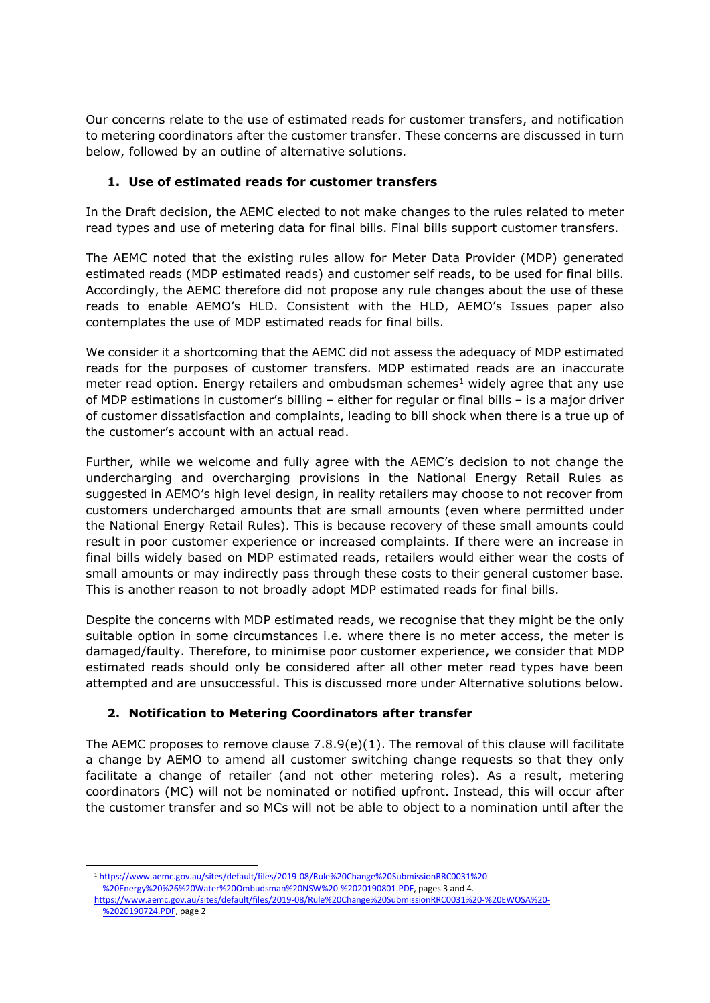Our concerns relate to the use of estimated reads for customer transfers, and notification to metering coordinators after the customer transfer. These concerns are discussed in turn below, followed by an outline of alternative solutions.

## **1. Use of estimated reads for customer transfers**

In the Draft decision, the AEMC elected to not make changes to the rules related to meter read types and use of metering data for final bills. Final bills support customer transfers.

The AEMC noted that the existing rules allow for Meter Data Provider (MDP) generated estimated reads (MDP estimated reads) and customer self reads, to be used for final bills. Accordingly, the AEMC therefore did not propose any rule changes about the use of these reads to enable AEMO's HLD. Consistent with the HLD, AEMO's Issues paper also contemplates the use of MDP estimated reads for final bills.

We consider it a shortcoming that the AEMC did not assess the adequacy of MDP estimated reads for the purposes of customer transfers. MDP estimated reads are an inaccurate meter read option. Energy retailers and ombudsman schemes<sup>1</sup> widely agree that any use of MDP estimations in customer's billing – either for regular or final bills – is a major driver of customer dissatisfaction and complaints, leading to bill shock when there is a true up of the customer's account with an actual read.

Further, while we welcome and fully agree with the AEMC's decision to not change the undercharging and overcharging provisions in the National Energy Retail Rules as suggested in AEMO's high level design, in reality retailers may choose to not recover from customers undercharged amounts that are small amounts (even where permitted under the National Energy Retail Rules). This is because recovery of these small amounts could result in poor customer experience or increased complaints. If there were an increase in final bills widely based on MDP estimated reads, retailers would either wear the costs of small amounts or may indirectly pass through these costs to their general customer base. This is another reason to not broadly adopt MDP estimated reads for final bills.

Despite the concerns with MDP estimated reads, we recognise that they might be the only suitable option in some circumstances i.e. where there is no meter access, the meter is damaged/faulty. Therefore, to minimise poor customer experience, we consider that MDP estimated reads should only be considered after all other meter read types have been attempted and are unsuccessful. This is discussed more under Alternative solutions below.

# **2. Notification to Metering Coordinators after transfer**

The AEMC proposes to remove clause 7.8.9(e)(1). The removal of this clause will facilitate a change by AEMO to amend all customer switching change requests so that they only facilitate a change of retailer (and not other metering roles). As a result, metering coordinators (MC) will not be nominated or notified upfront. Instead, this will occur after the customer transfer and so MCs will not be able to object to a nomination until after the

-

<sup>1</sup> [https://www.aemc.gov.au/sites/default/files/2019-08/Rule%20Change%20SubmissionRRC0031%20-](https://www.aemc.gov.au/sites/default/files/2019-08/Rule%20Change%20SubmissionRRC0031%20-%20Energy%20%26%20Water%20Ombudsman%20NSW%20-%2020190801.PDF)

[<sup>%20</sup>Energy%20%26%20Water%20Ombudsman%20NSW%20-%2020190801.PDF,](https://www.aemc.gov.au/sites/default/files/2019-08/Rule%20Change%20SubmissionRRC0031%20-%20Energy%20%26%20Water%20Ombudsman%20NSW%20-%2020190801.PDF) pages 3 and 4.

[https://www.aemc.gov.au/sites/default/files/2019-08/Rule%20Change%20SubmissionRRC0031%20-%20EWOSA%20-](https://www.aemc.gov.au/sites/default/files/2019-08/Rule%20Change%20SubmissionRRC0031%20-%20EWOSA%20-%2020190724.PDF) [%2020190724.PDF,](https://www.aemc.gov.au/sites/default/files/2019-08/Rule%20Change%20SubmissionRRC0031%20-%20EWOSA%20-%2020190724.PDF) page 2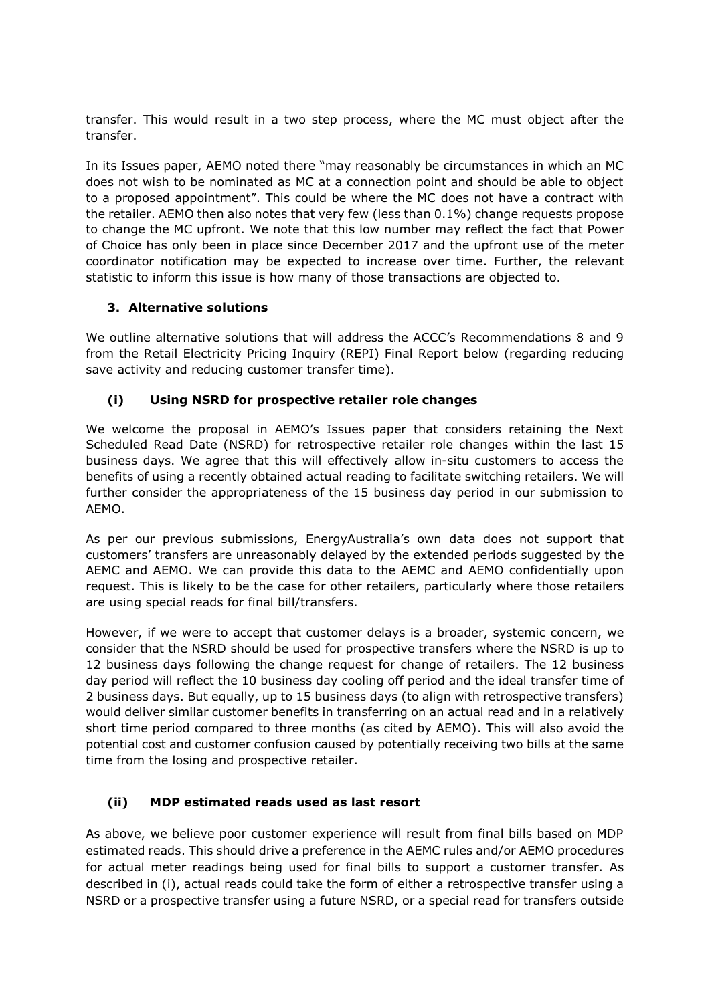transfer. This would result in a two step process, where the MC must object after the transfer.

In its Issues paper, AEMO noted there "may reasonably be circumstances in which an MC does not wish to be nominated as MC at a connection point and should be able to object to a proposed appointment". This could be where the MC does not have a contract with the retailer. AEMO then also notes that very few (less than 0.1%) change requests propose to change the MC upfront. We note that this low number may reflect the fact that Power of Choice has only been in place since December 2017 and the upfront use of the meter coordinator notification may be expected to increase over time. Further, the relevant statistic to inform this issue is how many of those transactions are objected to.

### **3. Alternative solutions**

We outline alternative solutions that will address the ACCC's Recommendations 8 and 9 from the Retail Electricity Pricing Inquiry (REPI) Final Report below (regarding reducing save activity and reducing customer transfer time).

### **(i) Using NSRD for prospective retailer role changes**

We welcome the proposal in AEMO's Issues paper that considers retaining the Next Scheduled Read Date (NSRD) for retrospective retailer role changes within the last 15 business days. We agree that this will effectively allow in-situ customers to access the benefits of using a recently obtained actual reading to facilitate switching retailers. We will further consider the appropriateness of the 15 business day period in our submission to AEMO.

As per our previous submissions, EnergyAustralia's own data does not support that customers' transfers are unreasonably delayed by the extended periods suggested by the AEMC and AEMO. We can provide this data to the AEMC and AEMO confidentially upon request. This is likely to be the case for other retailers, particularly where those retailers are using special reads for final bill/transfers.

However, if we were to accept that customer delays is a broader, systemic concern, we consider that the NSRD should be used for prospective transfers where the NSRD is up to 12 business days following the change request for change of retailers. The 12 business day period will reflect the 10 business day cooling off period and the ideal transfer time of 2 business days. But equally, up to 15 business days (to align with retrospective transfers) would deliver similar customer benefits in transferring on an actual read and in a relatively short time period compared to three months (as cited by AEMO). This will also avoid the potential cost and customer confusion caused by potentially receiving two bills at the same time from the losing and prospective retailer.

# **(ii) MDP estimated reads used as last resort**

As above, we believe poor customer experience will result from final bills based on MDP estimated reads. This should drive a preference in the AEMC rules and/or AEMO procedures for actual meter readings being used for final bills to support a customer transfer. As described in (i), actual reads could take the form of either a retrospective transfer using a NSRD or a prospective transfer using a future NSRD, or a special read for transfers outside